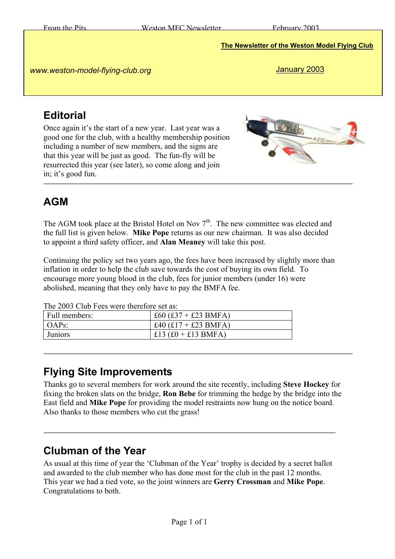**The Newsletter of the Weston Model Flying Club**

*www.weston-model-flying-club.org* 

January 2003

## **Editorial**

Once again it's the start of a new year. Last year was a good one for the club, with a healthy membership position including a number of new members, and the signs are that this year will be just as good. The fun-fly will be resurrected this year (see later), so come along and join in; it's good fun.



# **AGM**

The AGM took place at the Bristol Hotel on Nov  $7<sup>th</sup>$ . The new committee was elected and the full list is given below. **Mike Pope** returns as our new chairman. It was also decided to appoint a third safety officer, and **Alan Meaney** will take this post.

Continuing the policy set two years ago, the fees have been increased by slightly more than inflation in order to help the club save towards the cost of buying its own field. To encourage more young blood in the club, fees for junior members (under 16) were abolished, meaning that they only have to pay the BMFA fee.

The 2003 Club Fees were therefore set as:

| Full members: | £60 $(£37 + £23$ BMFA) |
|---------------|------------------------|
| $OAPs$ :      | £40 $(f17 + f23$ BMFA) |
| Juniors       | £13 $(f0 + f13 BMR)$   |

#### **Flying Site Improvements**

Thanks go to several members for work around the site recently, including **Steve Hockey** for fixing the broken slats on the bridge, **Ron Bebe** for trimming the hedge by the bridge into the East field and **Mike Pope** for providing the model restraints now hung on the notice board. Also thanks to those members who cut the grass!

#### **Clubman of the Year**

As usual at this time of year the 'Clubman of the Year' trophy is decided by a secret ballot and awarded to the club member who has done most for the club in the past 12 months. This year we had a tied vote, so the joint winners are **Gerry Crossman** and **Mike Pope**. Congratulations to both.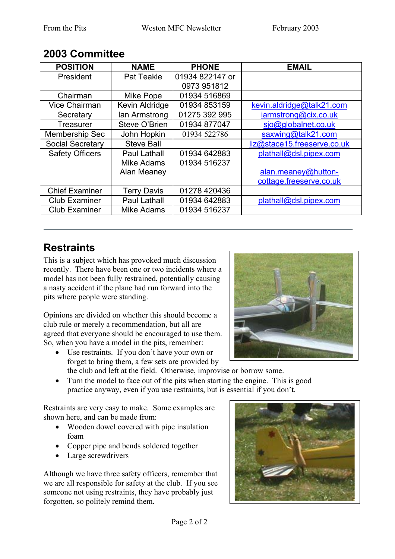|                        | <b>POSITION</b>         | <b>NAME</b>         | <b>PHONE</b>    | <b>EMAIL</b>                |  |
|------------------------|-------------------------|---------------------|-----------------|-----------------------------|--|
|                        | President               | Pat Teakle          | 01934 822147 or |                             |  |
|                        |                         |                     | 0973 951812     |                             |  |
|                        | Chairman                | Mike Pope           | 01934 516869    |                             |  |
|                        | <b>Vice Chairman</b>    | Kevin Aldridge      | 01934 853159    | kevin.aldridge@talk21.com   |  |
|                        | Secretary               | lan Armstrong       | 01275 392 995   | iarmstrong@cix.co.uk        |  |
|                        | Treasurer               | Steve O'Brien       | 01934 877047    | sjo@globalnet.co.uk         |  |
|                        | <b>Membership Sec</b>   | John Hopkin         | 01934 522786    | saxwing@talk21.com          |  |
|                        | <b>Social Secretary</b> | <b>Steve Ball</b>   |                 | liz@stace15.freeserve.co.uk |  |
| <b>Safety Officers</b> |                         | <b>Paul Lathall</b> | 01934 642883    | plathall@dsl.pipex.com      |  |
|                        |                         | Mike Adams          | 01934 516237    |                             |  |
|                        |                         | Alan Meaney         |                 | alan.meaney@hutton-         |  |
|                        |                         |                     |                 | cottage.freeserve.co.uk     |  |
| <b>Chief Examiner</b>  |                         | <b>Terry Davis</b>  | 01278 420436    |                             |  |
|                        | <b>Club Examiner</b>    | Paul Lathall        | 01934 642883    | plathall@dsl.pipex.com      |  |
|                        | <b>Club Examiner</b>    | <b>Mike Adams</b>   | 01934 516237    |                             |  |

#### **2003 Committee**

## **Restraints**

This is a subject which has provoked much discussion recently. There have been one or two incidents where a model has not been fully restrained, potentially causing a nasty accident if the plane had run forward into the pits where people were standing.

Opinions are divided on whether this should become a club rule or merely a recommendation, but all are agreed that everyone should be encouraged to use them. So, when you have a model in the pits, remember:

• Use restraints. If you don't have your own or forget to bring them, a few sets are provided by the club and left at the field. Otherwise, improvise or borrow some.



• Turn the model to face out of the pits when starting the engine. This is good practice anyway, even if you use restraints, but is essential if you don't.

Restraints are very easy to make. Some examples are shown here, and can be made from:

- Wooden dowel covered with pipe insulation foam
- Copper pipe and bends soldered together
- Large screwdrivers

Although we have three safety officers, remember that we are all responsible for safety at the club. If you see someone not using restraints, they have probably just forgotten, so politely remind them.

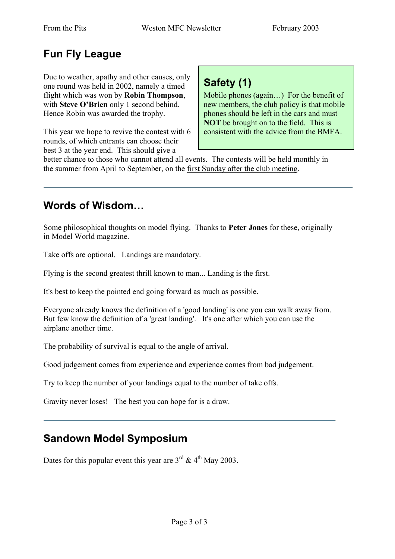# **Fun Fly League**

Due to weather, apathy and other causes, only one round was held in 2002, namely a timed flight which was won by **Robin Thompson**, with **Steve O'Brien** only 1 second behind. Hence Robin was awarded the trophy.

This year we hope to revive the contest with 6 rounds, of which entrants can choose their best 3 at the year end. This should give a

# **Safety (1)**

Mobile phones (again…) For the benefit of new members, the club policy is that mobile phones should be left in the cars and must **NOT** be brought on to the field. This is consistent with the advice from the BMFA.

better chance to those who cannot attend all events. The contests will be held monthly in the summer from April to September, on the first Sunday after the club meeting.

#### **Words of Wisdom…**

Some philosophical thoughts on model flying. Thanks to **Peter Jones** for these, originally in Model World magazine.

Take offs are optional. Landings are mandatory.

Flying is the second greatest thrill known to man... Landing is the first.

It's best to keep the pointed end going forward as much as possible.

Everyone already knows the definition of a 'good landing' is one you can walk away from. But few know the definition of a 'great landing'. It's one after which you can use the airplane another time.

The probability of survival is equal to the angle of arrival.

Good judgement comes from experience and experience comes from bad judgement.

Try to keep the number of your landings equal to the number of take offs.

Gravity never loses! The best you can hope for is a draw.

#### **Sandown Model Symposium**

Dates for this popular event this year are  $3<sup>rd</sup>$  &  $4<sup>th</sup>$  May 2003.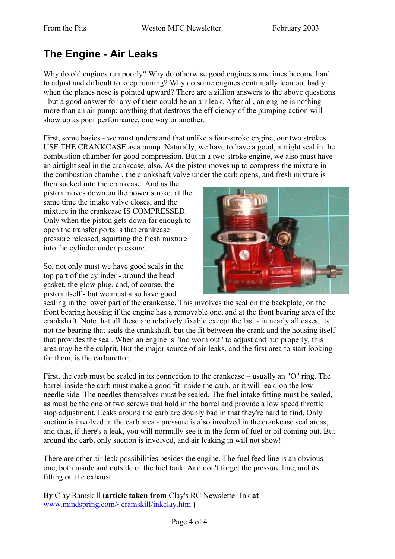## **The Engine - Air Leaks**

Why do old engines run poorly? Why do otherwise good engines sometimes become hard to adjust and difficult to keep running? Why do some engines continually lean out badly when the planes nose is pointed upward? There are a zillion answers to the above questions - but a good answer for any of them could be an air leak. After all, an engine is nothing more than an air pump; anything that destroys the efficiency of the pumping action will show up as poor performance, one way or another.

First, some basics - we must understand that unlike a four-stroke engine, our two strokes USE THE CRANKCASE as a pump. Naturally, we have to have a good, airtight seal in the combustion chamber for good compression. But in a two-stroke engine, we also must have an airtight seal in the crankcase, also. As the piston moves up to compress the mixture in the combustion chamber, the crankshaft valve under the carb opens, and fresh mixture is

then sucked into the crankcase. And as the piston moves down on the power stroke, at the same time the intake valve closes, and the mixture in the crankcase IS COMPRESSED. Only when the piston gets down far enough to open the transfer ports is that crankcase pressure released, squirting the fresh mixture into the cylinder under pressure.

So, not only must we have good seals in the top part of the cylinder - around the head gasket, the glow plug, and, of course, the piston itself - but we must also have good



sealing in the lower part of the crankcase. This involves the seal on the backplate, on the front bearing housing if the engine has a removable one, and at the front bearing area of the crankshaft. Note that all these are relatively fixable except the last - in nearly all cases, its not the bearing that seals the crankshaft, but the fit between the crank and the housing itself that provides the seal. When an engine is "too worn out" to adjust and run properly, this area may be the culprit. But the major source of air leaks, and the first area to start looking for them, is the carburettor.

First, the carb must be sealed in its connection to the crankcase – usually an "O" ring. The barrel inside the carb must make a good fit inside the carb, or it will leak, on the lowneedle side. The needles themselves must be sealed. The fuel intake fitting must be sealed, as must be the one or two screws that hold in the barrel and provide a low speed throttle stop adjustment. Leaks around the carb are doubly bad in that they're hard to find. Only suction is involved in the carb area - pressure is also involved in the crankcase seal areas, and thus, if there's a leak, you will normally see it in the form of fuel or oil coming out. But around the carb, only suction is involved, and air leaking in will not show!

There are other air leak possibilities besides the engine. The fuel feed line is an obvious one, both inside and outside of the fuel tank. And don't forget the pressure line, and its fitting on the exhaust.

**By** Clay Ramskill **(article taken from** Clay's RC Newsletter Ink **at**  [www.mindspring.com/~cramskill/inkclay.htm](http://www.mindspring.com/~cramskill/inkclay.htm) **)**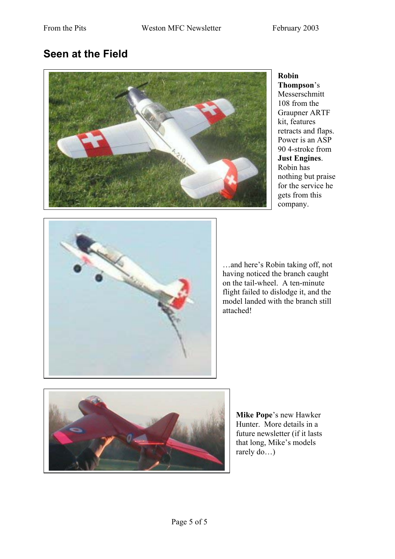#### **Seen at the Field**



**Robin Thompson**'s Messerschmitt 108 from the Graupner ARTF kit, features retracts and flaps. Power is an ASP 90 4-stroke from **Just Engines**. Robin has nothing but praise for the service he gets from this company.



…and here's Robin taking off, not having noticed the branch caught on the tail-wheel. A ten-minute flight failed to dislodge it, and the model landed with the branch still attached!



rarely do...) **Mike Pope**'s new Hawker Hunter. More details in a future newsletter (if it lasts that long, Mike's models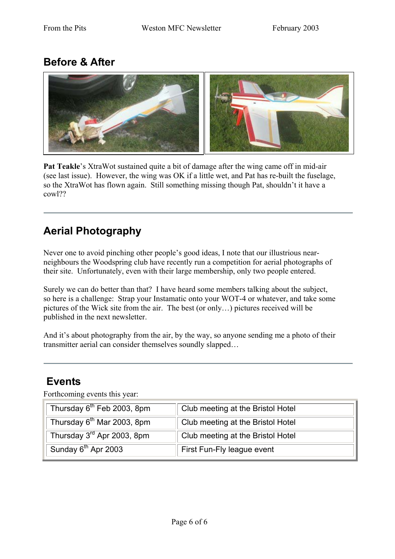## **Before & After**



**Pat Teakle**'s XtraWot sustained quite a bit of damage after the wing came off in mid-air (see last issue). However, the wing was OK if a little wet, and Pat has re-built the fuselage, so the XtraWot has flown again. Still something missing though Pat, shouldn't it have a cowl??

# **Aerial Photography**

Never one to avoid pinching other people's good ideas, I note that our illustrious nearneighbours the Woodspring club have recently run a competition for aerial photographs of their site. Unfortunately, even with their large membership, only two people entered.

Surely we can do better than that? I have heard some members talking about the subject, so here is a challenge: Strap your Instamatic onto your WOT-4 or whatever, and take some pictures of the Wick site from the air. The best (or only…) pictures received will be published in the next newsletter.

And it's about photography from the air, by the way, so anyone sending me a photo of their transmitter aerial can consider themselves soundly slapped…

#### **Events**

Forthcoming events this year:

| Thursday 6 <sup>th</sup> Feb 2003, 8pm | Club meeting at the Bristol Hotel |
|----------------------------------------|-----------------------------------|
| Thursday 6 <sup>th</sup> Mar 2003, 8pm | Club meeting at the Bristol Hotel |
| Thursday 3 <sup>rd</sup> Apr 2003, 8pm | Club meeting at the Bristol Hotel |
| Sunday 6 <sup>th</sup> Apr 2003        | First Fun-Fly league event        |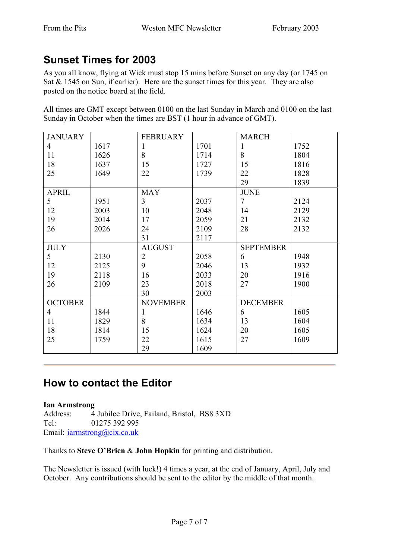## **Sunset Times for 2003**

As you all know, flying at Wick must stop 15 mins before Sunset on any day (or 1745 on Sat & 1545 on Sun, if earlier). Here are the sunset times for this year. They are also posted on the notice board at the field.

All times are GMT except between 0100 on the last Sunday in March and 0100 on the last Sunday in October when the times are BST (1 hour in advance of GMT).

| <b>JANUARY</b> |      | <b>FEBRUARY</b> |      | <b>MARCH</b>     |      |
|----------------|------|-----------------|------|------------------|------|
| $\overline{4}$ | 1617 | 1               | 1701 | 1                | 1752 |
| 11             | 1626 | 8               | 1714 | 8                | 1804 |
| 18             | 1637 | 15              | 1727 | 15               | 1816 |
| 25             | 1649 | 22              | 1739 | 22               | 1828 |
|                |      |                 |      | 29               | 1839 |
| <b>APRIL</b>   |      | <b>MAY</b>      |      | <b>JUNE</b>      |      |
| 5              | 1951 | 3               | 2037 | 7                | 2124 |
| 12             | 2003 | 10              | 2048 | 14               | 2129 |
| 19             | 2014 | 17              | 2059 | 21               | 2132 |
| 26             | 2026 | 24              | 2109 | 28               | 2132 |
|                |      | 31              | 2117 |                  |      |
| <b>JULY</b>    |      | <b>AUGUST</b>   |      | <b>SEPTEMBER</b> |      |
| 5              | 2130 | $\overline{2}$  | 2058 | 6                | 1948 |
| 12             | 2125 | 9               | 2046 | 13               | 1932 |
| 19             | 2118 | 16              | 2033 | 20               | 1916 |
| 26             | 2109 | 23              | 2018 | 27               | 1900 |
|                |      | 30              | 2003 |                  |      |
| <b>OCTOBER</b> |      | <b>NOVEMBER</b> |      | <b>DECEMBER</b>  |      |
| $\overline{4}$ | 1844 | $\mathbf{1}$    | 1646 | 6                | 1605 |
| 11             | 1829 | 8               | 1634 | 13               | 1604 |
| 18             | 1814 | 15              | 1624 | 20               | 1605 |
| 25             | 1759 | 22              | 1615 | 27               | 1609 |
|                |      | 29              | 1609 |                  |      |

#### **How to contact the Editor**

#### **Ian Armstrong**

Address: 4 Jubilee Drive, Failand, Bristol, BS8 3XD Tel: 01275 392 995 Email: *[iarmstrong@cix.co.uk](mailto:iarmstrong@cix.co.uk)* 

Thanks to **Steve O'Brien** & **John Hopkin** for printing and distribution.

The Newsletter is issued (with luck!) 4 times a year, at the end of January, April, July and October. Any contributions should be sent to the editor by the middle of that month.